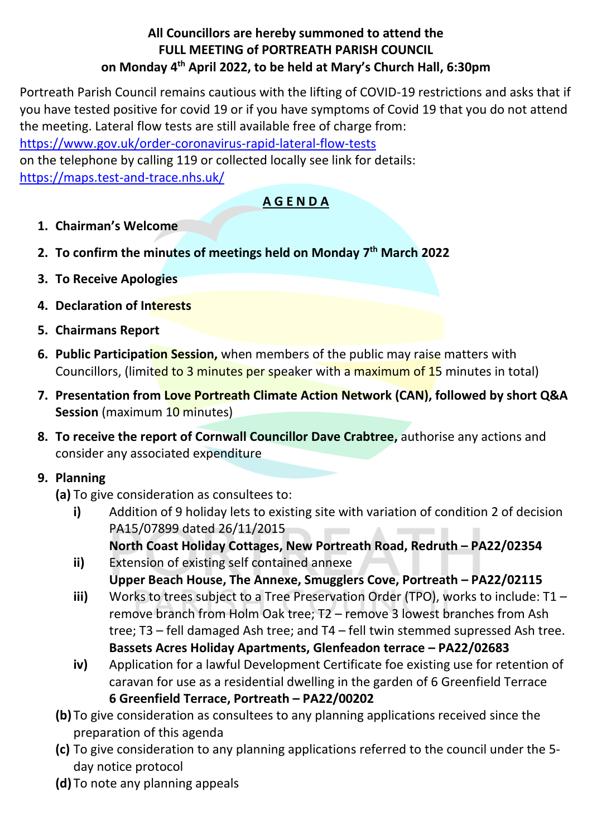#### **All Councillors are hereby summoned to attend the FULL MEETING of PORTREATH PARISH COUNCIL on Monday 4 th April 2022, to be held at Mary's Church Hall, 6:30pm**

Portreath Parish Council remains cautious with the lifting of COVID-19 restrictions and asks that if you have tested positive for covid 19 or if you have symptoms of Covid 19 that you do not attend the meeting. Lateral flow tests are still available free of charge from:

<https://www.gov.uk/order-coronavirus-rapid-lateral-flow-tests>

on the telephone by calling 119 or collected locally see link for details: <https://maps.test-and-trace.nhs.uk/>

#### **A G E N D A**

- **1. Chairman's Welcome**
- **2. To confirm the minutes of meetings held on Monday 7 th March 2022**
- **3. To Receive Apologies**
- **4. Declaration of Interests**
- **5. Chairmans Report**
- **6. Public Participation Session,** when members of the public may raise matters with Councillors, (limited to 3 minutes per speaker with a maximum of 15 minutes in total)
- **7. Presentation from Love Portreath Climate Action Network (CAN), followed by short Q&A Session** (maximum 10 minutes)
- **8. To receive the report of Cornwall Councillor Dave Crabtree,** authorise any actions and consider any associated expenditure

### **9. Planning**

**(a)** To give consideration as consultees to:

- **i)** Addition of 9 holiday lets to existing site with variation of condition 2 of decision PA15/07899 dated 26/11/2015 **North Coast Holiday Cottages, New Portreath Road, Redruth – PA22/02354**
- **ii)** Extension of existing self contained annexe **Upper Beach House, The Annexe, Smugglers Cove, Portreath – PA22/02115**
- **iii)** Works to trees subject to a Tree Preservation Order (TPO), works to include: T1 remove branch from Holm Oak tree; T2 – remove 3 lowest branches from Ash tree; T3 – fell damaged Ash tree; and T4 – fell twin stemmed supressed Ash tree. **Bassets Acres Holiday Apartments, Glenfeadon terrace – PA22/02683**
- **iv)** Application for a lawful Development Certificate foe existing use for retention of caravan for use as a residential dwelling in the garden of 6 Greenfield Terrace **6 Greenfield Terrace, Portreath – PA22/00202**
- **(b)** To give consideration as consultees to any planning applications received since the preparation of this agenda
- **(c)** To give consideration to any planning applications referred to the council under the 5 day notice protocol
- **(d)** To note any planning appeals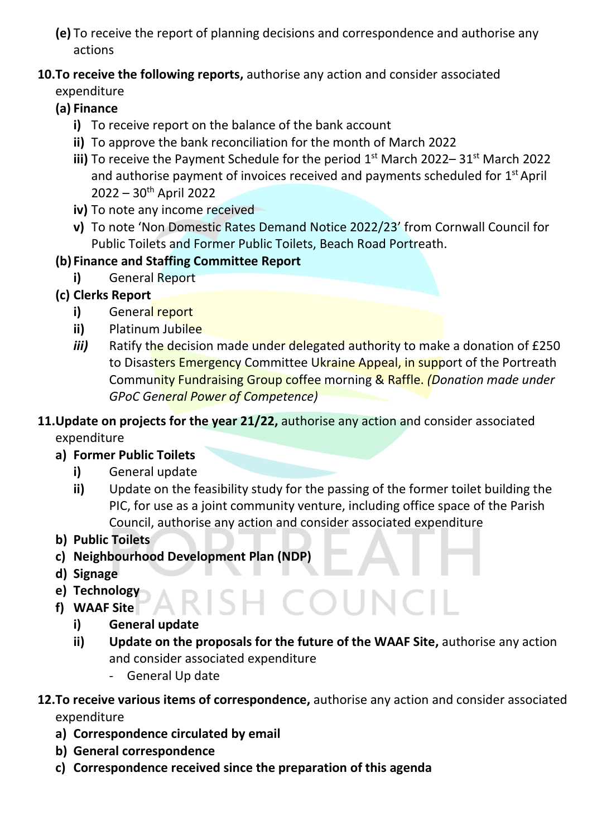**(e)** To receive the report of planning decisions and correspondence and authorise any actions

# **10.To receive the following reports,** authorise any action and consider associated

expenditure

- **(a) Finance**
	- **i)** To receive report on the balance of the bank account
	- **ii)** To approve the bank reconciliation for the month of March 2022
	- iii) To receive the Payment Schedule for the period 1<sup>st</sup> March 2022–31<sup>st</sup> March 2022 and authorise payment of invoices received and payments scheduled for  $1<sup>st</sup>$  April 2022 – 30 th April 2022
	- **iv)** To note any income received
	- **v)** To note 'Non Domestic Rates Demand Notice 2022/23' from Cornwall Council for Public Toilets and Former Public Toilets, Beach Road Portreath.

## **(b) Finance and Staffing Committee Report**

- **i)** General Report
- **(c) Clerks Report**
	- **i)** General report
	- **ii)** Platinum Jubilee
	- *iii*) Ratify the decision made under delegated authority to make a donation of £250 to Disasters Emergency Committee Ukraine Appeal, in support of the Portreath Community Fundraising Group coffee morning & Raffle. *(Donation made under GPoC General Power of Competence)*
- **11.Update on projects for the year 21/22,** authorise any action and consider associated expenditure
	- **a) Former Public Toilets** 
		- **i)** General update
		- **ii)** Update on the feasibility study for the passing of the former toilet building the PIC, for use as a joint community venture, including office space of the Parish Council, authorise any action and consider associated expenditure
	- **b) Public Toilets**
	- **c) Neighbourhood Development Plan (NDP)**
	- **d) Signage**
	- **e) Technology**
	- **f) WAAF Site**
		- **i) General update**
		- **ii) Update on the proposals for the future of the WAAF Site,** authorise any action and consider associated expenditure

SH COUN

- General Up date
- **12.To receive various items of correspondence,** authorise any action and consider associated expenditure
	- **a) Correspondence circulated by email**
	- **b) General correspondence**
	- **c) Correspondence received since the preparation of this agenda**